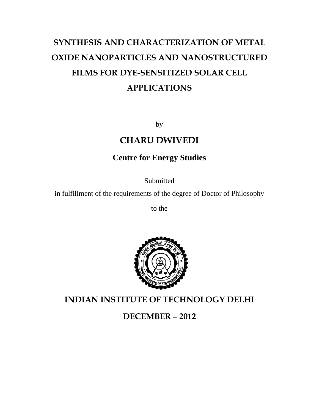# SYNTHESIS AND CHARACTERIZATION OF METAL OXIDE NANOPARTICLES AND NANOSTRUCTURED FILMS FOR DYE-SENSITIZED SOLAR CELL **APPLICATIONS**

by

#### **CHARU DWIVEDI**

#### **Centre for Energy Studies**

Submitted

in fulfillment of the requirements of the degree of Doctor of Philosophy

to the



**INDIAN INSTITUTE OF TECHNOLOGY DELHI** 

DECEMBER - 2012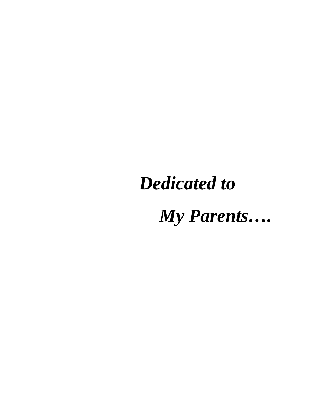# **Dedicated to**

My Parents....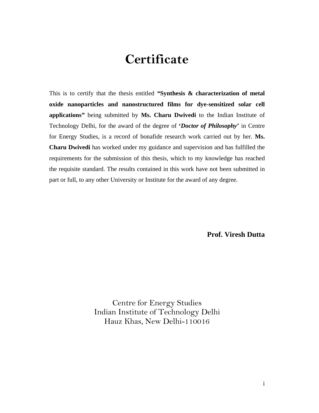### **Certificate**

This is to certify that the thesis entitled *"***Synthesis & characterization of metal oxide nanoparticles and nanostructured films for dye-sensitized solar cell applications***"* being submitted by **Ms. Charu Dwivedi** to the Indian Institute of Technology Delhi, for the award of the degree of **'***Doctor of Philosophy***'** in Centre for Energy Studies, is a record of bonafide research work carried out by her. **Ms. Charu Dwivedi** has worked under my guidance and supervision and has fulfilled the requirements for the submission of this thesis, which to my knowledge has reached the requisite standard. The results contained in this work have not been submitted in part or full, to any other University or Institute for the award of any degree.

**Prof. Viresh Dutta** 

Centre for Energy Studies Indian Institute of Technology Delhi Hauz Khas, New Delhi-110016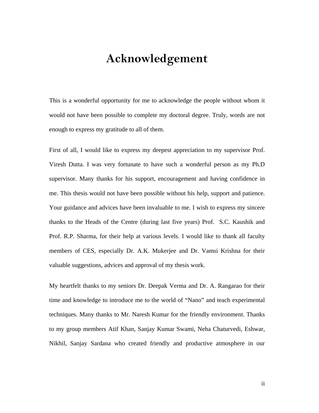### **Acknowledgement**

This is a wonderful opportunity for me to acknowledge the people without whom it would not have been possible to complete my doctoral degree. Truly, words are not enough to express my gratitude to all of them.

First of all, I would like to express my deepest appreciation to my supervisor Prof. Viresh Dutta. I was very fortunate to have such a wonderful person as my Ph.D supervisor. Many thanks for his support, encouragement and having confidence in me. This thesis would not have been possible without his help, support and patience. Your guidance and advices have been invaluable to me. I wish to express my sincere thanks to the Heads of the Centre (during last five years) Prof. S.C. Kaushik and Prof. R.P. Sharma, for their help at various levels. I would like to thank all faculty members of CES, especially Dr. A.K. Mukerjee and Dr. Vamsi Krishna for their valuable suggestions, advices and approval of my thesis work.

My heartfelt thanks to my seniors Dr. Deepak Verma and Dr. A. Rangarao for their time and knowledge to introduce me to the world of "Nano" and teach experimental techniques. Many thanks to Mr. Naresh Kumar for the friendly environment. Thanks to my group members Atif Khan, Sanjay Kumar Swami, Neha Chaturvedi, Eshwar, Nikhil, Sanjay Sardana who created friendly and productive atmosphere in our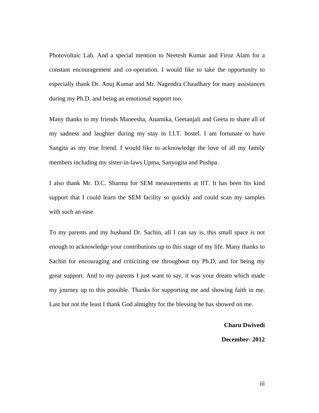Photovoltaic Lab. And a special mention to Neetesh Kumar and Firoz Alam for a constant encouragement and co-operation. I would like to take the opportunity to especially thank Dr. Anuj Kumar and Mr. Nagendra Chaudhary for many assistances during my Ph.D. and being an emotional support too.

Many thanks to my friends Maneesha, Anamika, Geetanjali and Geeta to share all of my sadness and laughter during my stay in I.I.T. hostel. I am fortunate to have Sangita as my true friend. I would like to acknowledge the love of all my family members including my sister-in-laws Upma, Sanyogita and Pushpa.

I also thank Mr. D.C. Sharma for SEM measurements at IIT. It has been his kind support that I could learn the SEM facility so quickly and could scan my samples with such an ease.

To my parents and my husband Dr. Sachin, all I can say is, this small space is not enough to acknowledge your contributions up to this stage of my life. Many thanks to Sachin for encouraging and criticizing me throughout my Ph.D, and for being my great support. And to my parents I just want to say, it was your dream which made my journey up to this possible. Thanks for supporting me and showing faith in me. Last but not the least I thank God almighty for the blessing he has showed on me.

**Charu Dwivedi** 

#### **December- 2012**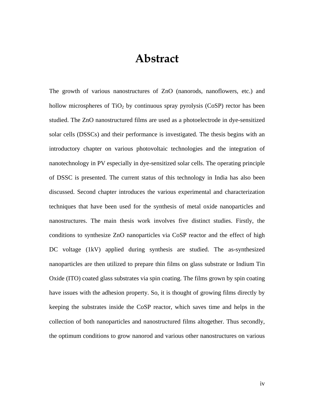#### **Abstract**

The growth of various nanostructures of ZnO (nanorods, nanoflowers, etc.) and hollow microspheres of  $TiO<sub>2</sub>$  by continuous spray pyrolysis (CoSP) rector has been studied. The ZnO nanostructured films are used as a photoelectrode in dye-sensitized solar cells (DSSCs) and their performance is investigated. The thesis begins with an introductory chapter on various photovoltaic technologies and the integration of nanotechnology in PV especially in dye-sensitized solar cells. The operating principle of DSSC is presented. The current status of this technology in India has also been discussed. Second chapter introduces the various experimental and characterization techniques that have been used for the synthesis of metal oxide nanoparticles and nanostructures. The main thesis work involves five distinct studies. Firstly, the conditions to synthesize ZnO nanoparticles via CoSP reactor and the effect of high DC voltage (1kV) applied during synthesis are studied. The as-synthesized nanoparticles are then utilized to prepare thin films on glass substrate or Indium Tin Oxide (ITO) coated glass substrates via spin coating. The films grown by spin coating have issues with the adhesion property. So, it is thought of growing films directly by keeping the substrates inside the CoSP reactor, which saves time and helps in the collection of both nanoparticles and nanostructured films altogether. Thus secondly, the optimum conditions to grow nanorod and various other nanostructures on various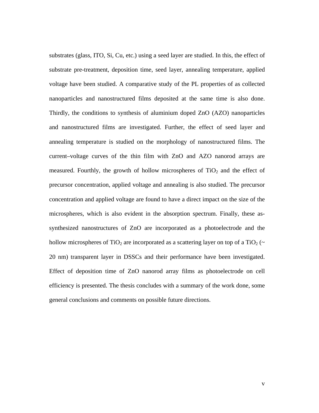substrates (glass, ITO, Si, Cu, etc.) using a seed layer are studied. In this, the effect of substrate pre-treatment, deposition time, seed layer, annealing temperature, applied voltage have been studied. A comparative study of the PL properties of as collected nanoparticles and nanostructured films deposited at the same time is also done. Thirdly, the conditions to synthesis of aluminium doped ZnO (AZO) nanoparticles and nanostructured films are investigated. Further, the effect of seed layer and annealing temperature is studied on the morphology of nanostructured films. The current–voltage curves of the thin film with ZnO and AZO nanorod arrays are measured. Fourthly, the growth of hollow microspheres of  $TiO<sub>2</sub>$  and the effect of precursor concentration, applied voltage and annealing is also studied. The precursor concentration and applied voltage are found to have a direct impact on the size of the microspheres, which is also evident in the absorption spectrum. Finally, these assynthesized nanostructures of ZnO are incorporated as a photoelectrode and the hollow microspheres of TiO<sub>2</sub> are incorporated as a scattering layer on top of a TiO<sub>2</sub> ( $\sim$ 20 nm) transparent layer in DSSCs and their performance have been investigated. Effect of deposition time of ZnO nanorod array films as photoelectrode on cell efficiency is presented. The thesis concludes with a summary of the work done, some general conclusions and comments on possible future directions.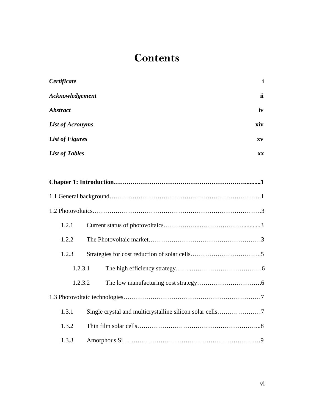#### **Contents**

| Certificate             | $\mathbf{i}$ |
|-------------------------|--------------|
| Acknowledgement         | ii           |
| <b>Abstract</b>         | iv           |
| <b>List of Acronyms</b> | xiv          |
| <b>List of Figures</b>  | XV           |
| <b>List of Tables</b>   | XX           |

| 1.2.1   |                                                          |  |
|---------|----------------------------------------------------------|--|
| 1.2.2   |                                                          |  |
| 1.2.3   |                                                          |  |
| 1.2.3.1 |                                                          |  |
| 1.2.3.2 |                                                          |  |
|         |                                                          |  |
| 1.3.1   | Single crystal and multicrystalline silicon solar cells7 |  |
| 1.3.2   |                                                          |  |
| 1.3.3   |                                                          |  |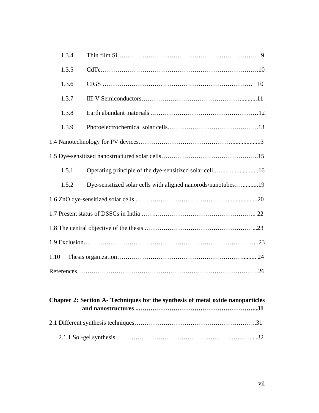| 1.3.4 |                                                              |  |
|-------|--------------------------------------------------------------|--|
| 1.3.5 |                                                              |  |
| 1.3.6 |                                                              |  |
| 1.3.7 |                                                              |  |
| 1.3.8 |                                                              |  |
| 1.3.9 |                                                              |  |
|       |                                                              |  |
|       |                                                              |  |
| 1.5.1 | Operating principle of the dye-sensitized solar cell16       |  |
| 1.5.2 | Dye-sensitized solar cells with aligned nanorods/nanotubes19 |  |
|       |                                                              |  |
|       |                                                              |  |
|       |                                                              |  |
|       |                                                              |  |
| 1.10  |                                                              |  |
|       |                                                              |  |

| Chapter 2: Section A- Techniques for the synthesis of metal oxide nanoparticles |  |  |
|---------------------------------------------------------------------------------|--|--|
|                                                                                 |  |  |
|                                                                                 |  |  |
|                                                                                 |  |  |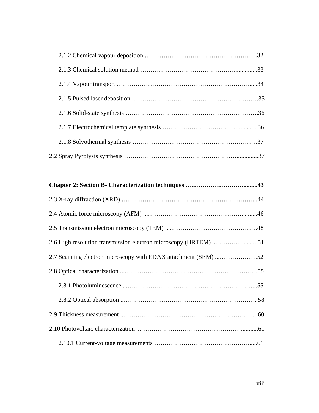| 2.6 High resolution transmission electron microscopy (HRTEM) 51 |  |  |
|-----------------------------------------------------------------|--|--|
|                                                                 |  |  |
|                                                                 |  |  |
|                                                                 |  |  |
|                                                                 |  |  |
|                                                                 |  |  |
|                                                                 |  |  |
|                                                                 |  |  |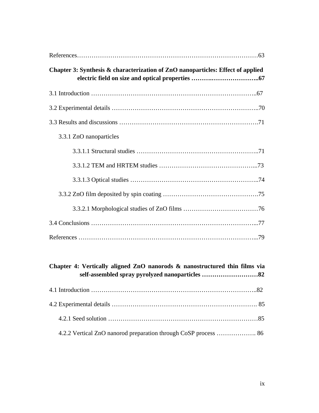| Chapter 3: Synthesis & characterization of ZnO nanoparticles: Effect of applied                                               |
|-------------------------------------------------------------------------------------------------------------------------------|
|                                                                                                                               |
|                                                                                                                               |
|                                                                                                                               |
| 3.3.1 ZnO nanoparticles                                                                                                       |
|                                                                                                                               |
|                                                                                                                               |
|                                                                                                                               |
|                                                                                                                               |
|                                                                                                                               |
|                                                                                                                               |
|                                                                                                                               |
|                                                                                                                               |
| Chapter 4: Vertically aligned ZnO nanorods & nanostructured thin films via<br>self-assembled spray pyrolyzed nanoparticles 82 |
|                                                                                                                               |

| 4.2.2 Vertical ZnO nanorod preparation through CoSP process  86 |  |
|-----------------------------------------------------------------|--|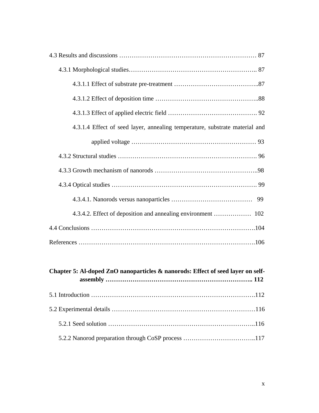| 4.3.1.4 Effect of seed layer, annealing temperature, substrate material and |
|-----------------------------------------------------------------------------|
|                                                                             |
|                                                                             |
|                                                                             |
|                                                                             |
|                                                                             |
|                                                                             |
|                                                                             |
|                                                                             |

| Chapter 5: Al-doped ZnO nanoparticles & nanorods: Effect of seed layer on self- |  |
|---------------------------------------------------------------------------------|--|
|                                                                                 |  |
|                                                                                 |  |
|                                                                                 |  |
|                                                                                 |  |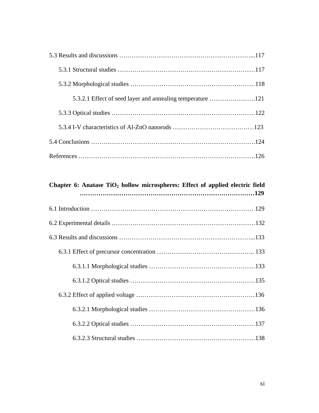## Chapter 6: Anatase TiO<sub>2</sub> hollow microspheres: Effect of applied electric field **…………………………………………………………………………129**  6.1 Introduction …………………………………………………………………… 129 6.2 Experimental details ……………………………………………………………132 6.3 Results and discussions ………………………………………………………...133 6.3.1 Effect of precursor concentration ……………………………………….. 133 6.3.1.1 Morphological studies ……………………………………………133 6.3.1.2 Optical studies ……………………………………………………135 6.3.2 Effect of applied voltage …………………………………………………136 6.3.2.1 Morphological studies ……………………………………………136 6.3.2.2 Optical studies ……………………………………………………137 6.3.2.3 Structural studies …………………………………………………138